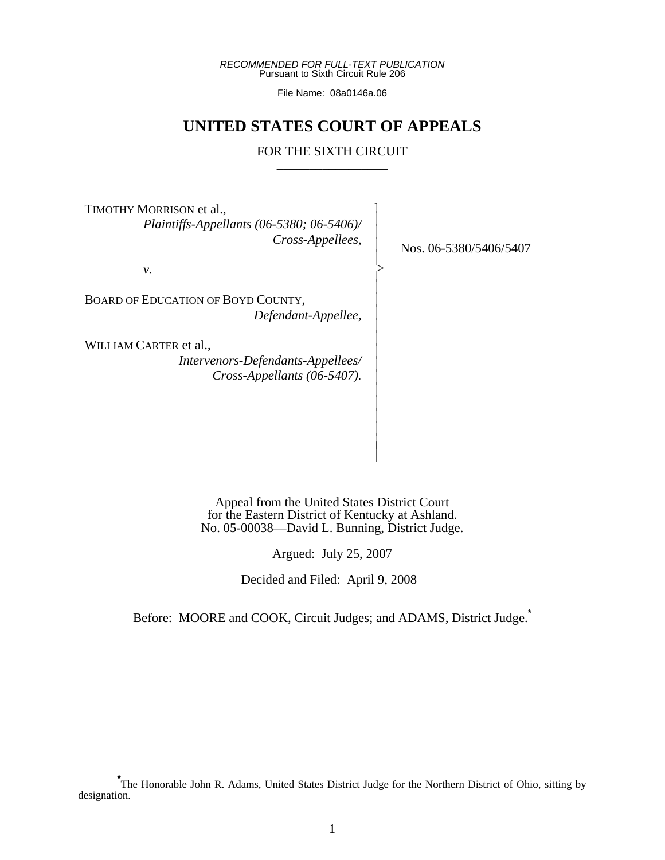*RECOMMENDED FOR FULL-TEXT PUBLICATION* Pursuant to Sixth Circuit Rule 206

File Name: 08a0146a.06

# **UNITED STATES COURT OF APPEALS**

# FOR THE SIXTH CIRCUIT

 $\overline{\phantom{a}}$ - - - - > |<br>|<br>| - - - - - - - - - - - - - N

TIMOTHY MORRISON et al.,  *Plaintiffs-Appellants (06-5380; 06-5406)/ Cross-Appellees,*

*v.*

BOARD OF EDUCATION OF BOYD COUNTY, *Defendant-Appellee,*

WILLIAM CARTER et al., *Intervenors-Defendants-Appellees/ Cross-Appellants (06-5407).*

Nos. 06-5380/5406/5407

Appeal from the United States District Court for the Eastern District of Kentucky at Ashland. No. 05-00038—David L. Bunning, District Judge.

Argued: July 25, 2007

Decided and Filed: April 9, 2008

Before: MOORE and COOK, Circuit Judges; and ADAMS, District Judge.**\***

<sup>\*&</sup>lt;br>The Honorable John R. Adams, United States District Judge for the Northern District of Ohio, sitting by designation.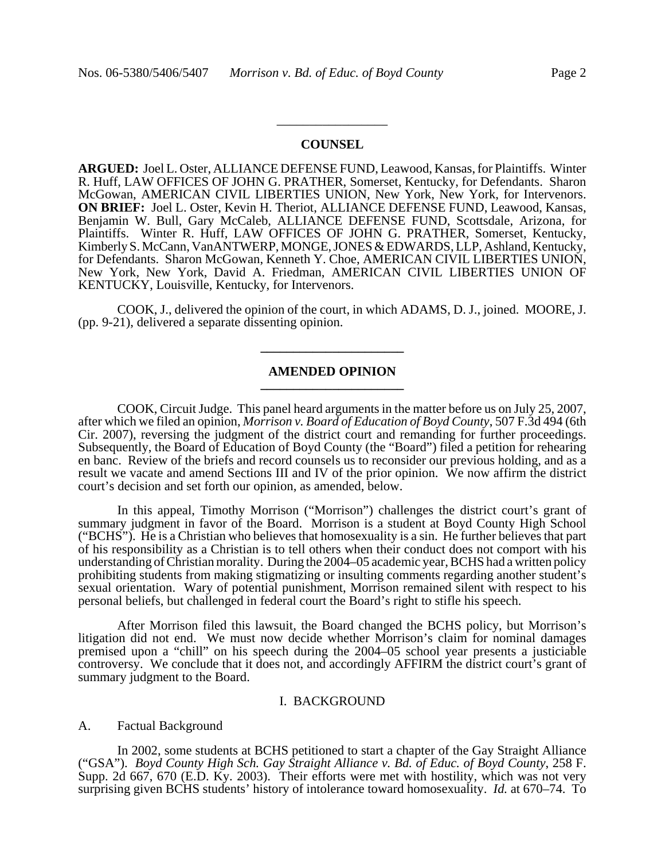## **COUNSEL**

\_\_\_\_\_\_\_\_\_\_\_\_\_\_\_\_\_

**ARGUED:** Joel L. Oster, ALLIANCE DEFENSE FUND, Leawood, Kansas, for Plaintiffs. Winter R. Huff, LAW OFFICES OF JOHN G. PRATHER, Somerset, Kentucky, for Defendants. Sharon McGowan, AMERICAN CIVIL LIBERTIES UNION, New York, New York, for Intervenors. **ON BRIEF:** Joel L. Oster, Kevin H. Theriot, ALLIANCE DEFENSE FUND, Leawood, Kansas, Benjamin W. Bull, Gary McCaleb, ALLIANCE DEFENSE FUND, Scottsdale, Arizona, for Plaintiffs. Winter R. Huff, LAW OFFICES OF JOHN G. PRATHER, Somerset, Kentucky, Kimberly S. McCann, VanANTWERP, MONGE, JONES & EDWARDS, LLP, Ashland, Kentucky, for Defendants. Sharon McGowan, Kenneth Y. Choe, AMERICAN CIVIL LIBERTIES UNION, New York, New York, David A. Friedman, AMERICAN CIVIL LIBERTIES UNION OF KENTUCKY, Louisville, Kentucky, for Intervenors.

COOK, J., delivered the opinion of the court, in which ADAMS, D. J., joined. MOORE, J. (pp. 9-21), delivered a separate dissenting opinion.

**\_\_\_\_\_\_\_\_\_\_\_\_\_\_\_\_\_\_\_\_\_\_**

## **AMENDED OPINION \_\_\_\_\_\_\_\_\_\_\_\_\_\_\_\_\_\_\_\_\_\_**

COOK, Circuit Judge. This panel heard arguments in the matter before us on July 25, 2007, after which we filed an opinion, *Morrison v. Board of Education of Boyd County*, 507 F.3d 494 (6th Cir. 2007), reversing the judgment of the district court and remanding for further proceedings. Subsequently, the Board of Education of Boyd County (the "Board") filed a petition for rehearing en banc. Review of the briefs and record counsels us to reconsider our previous holding, and as a result we vacate and amend Sections III and IV of the prior opinion. We now affirm the district court's decision and set forth our opinion, as amended, below.

In this appeal, Timothy Morrison ("Morrison") challenges the district court's grant of summary judgment in favor of the Board. Morrison is a student at Boyd County High School ("BCHS"). He is a Christian who believes that homosexuality is a sin. He further believes that part of his responsibility as a Christian is to tell others when their conduct does not comport with his understanding of Christian morality. During the 2004–05 academic year, BCHS had a written policy prohibiting students from making stigmatizing or insulting comments regarding another student's sexual orientation. Wary of potential punishment, Morrison remained silent with respect to his personal beliefs, but challenged in federal court the Board's right to stifle his speech.

After Morrison filed this lawsuit, the Board changed the BCHS policy, but Morrison's litigation did not end. We must now decide whether Morrison's claim for nominal damages premised upon a "chill" on his speech during the 2004–05 school year presents a justiciable controversy. We conclude that it does not, and accordingly AFFIRM the district court's grant of summary judgment to the Board.

#### I. BACKGROUND

#### A. Factual Background

In 2002, some students at BCHS petitioned to start a chapter of the Gay Straight Alliance ("GSA"). *Boyd County High Sch. Gay Straight Alliance v. Bd. of Educ. of Boyd County*, 258 F. Supp. 2d 667, 670 (E.D. Ky. 2003). Their efforts were met with hostility, which was not very surprising given BCHS students' history of intolerance toward homosexuality. *Id.* at 670–74. To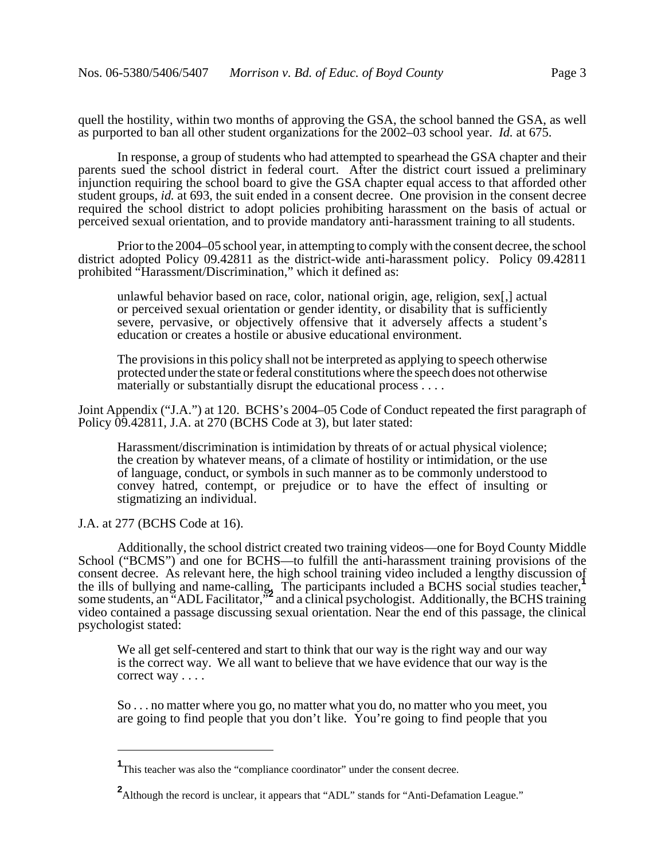quell the hostility, within two months of approving the GSA, the school banned the GSA, as well as purported to ban all other student organizations for the 2002–03 school year. *Id.* at 675.

In response, a group of students who had attempted to spearhead the GSA chapter and their parents sued the school district in federal court. After the district court issued a preliminary injunction requiring the school board to give the GSA chapter equal access to that afforded other student groups, *id.* at 693, the suit ended in a consent decree. One provision in the consent decree required the school district to adopt policies prohibiting harassment on the basis of actual or perceived sexual orientation, and to provide mandatory anti-harassment training to all students.

Prior to the 2004–05 school year, in attempting to comply with the consent decree, the school district adopted Policy 09.42811 as the district-wide anti-harassment policy. Policy 09.42811 prohibited "Harassment/Discrimination," which it defined as:

unlawful behavior based on race, color, national origin, age, religion, sex[,] actual or perceived sexual orientation or gender identity, or disability that is sufficiently severe, pervasive, or objectively offensive that it adversely affects a student's education or creates a hostile or abusive educational environment.

The provisions in this policy shall not be interpreted as applying to speech otherwise protected under the state or federal constitutions where the speech does not otherwise materially or substantially disrupt the educational process . . . .

Joint Appendix ("J.A.") at 120. BCHS's 2004–05 Code of Conduct repeated the first paragraph of Policy  $\tilde{0}9.42811$ , J.A. at 270 (BCHS Code at 3), but later stated:

Harassment/discrimination is intimidation by threats of or actual physical violence; the creation by whatever means, of a climate of hostility or intimidation, or the use of language, conduct, or symbols in such manner as to be commonly understood to convey hatred, contempt, or prejudice or to have the effect of insulting or stigmatizing an individual.

J.A. at 277 (BCHS Code at 16).

Additionally, the school district created two training videos—one for Boyd County Middle School ("BCMS") and one for BCHS—to fulfill the anti-harassment training provisions of the consent decree. As relevant here, the high school training video included a lengthy discussion of the ills of bullying and name-calling. The participants included a BCHS social studies teacher,<sup>1</sup> some students, an "ADL Facilitator,"<sup>2</sup> and a clinical psychologist. Additionally, the BCHS training video contained a passage discussing sexual orientation. Near the end of this passage, the clinical psychologist stated:

We all get self-centered and start to think that our way is the right way and our way is the correct way. We all want to believe that we have evidence that our way is the correct way . . . .

So . . . no matter where you go, no matter what you do, no matter who you meet, you are going to find people that you don't like. You're going to find people that you

<sup>&</sup>lt;sup>1</sup>This teacher was also the "compliance coordinator" under the consent decree.

<sup>&</sup>lt;sup>2</sup> Although the record is unclear, it appears that "ADL" stands for "Anti-Defamation League."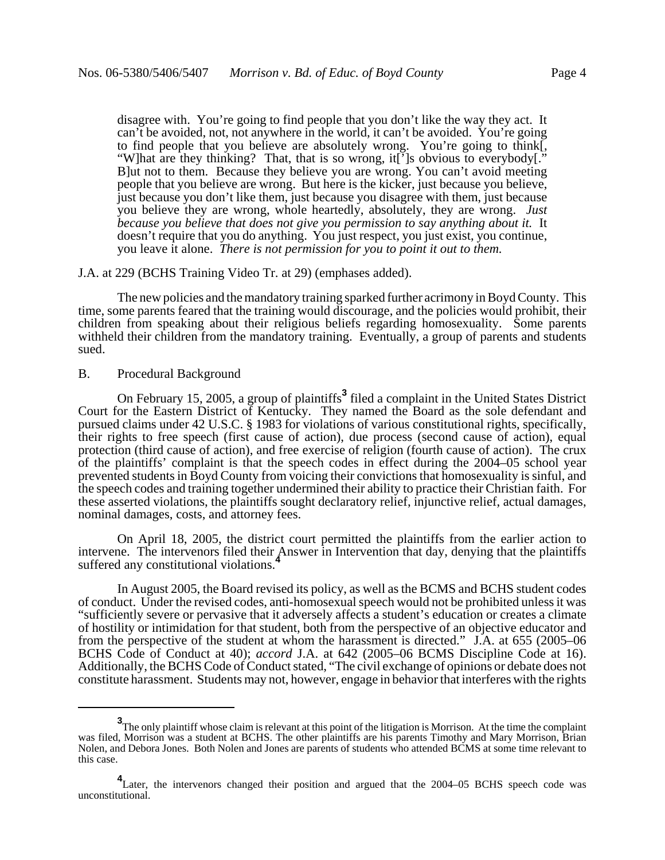disagree with. You're going to find people that you don't like the way they act. It can't be avoided, not, not anywhere in the world, it can't be avoided. You're going to find people that you believe are absolutely wrong. You're going to think[, "W]hat are they thinking? That, that is so wrong, it[']s obvious to everybody[." B]ut not to them. Because they believe you are wrong. You can't avoid meeting people that you believe are wrong. But here is the kicker, just because you believe, just because you don't like them, just because you disagree with them, just because you believe they are wrong, whole heartedly, absolutely, they are wrong. *Just because you believe that does not give you permission to say anything about it.* It doesn't require that you do anything. You just respect, you just exist, you continue, you leave it alone. *There is not permission for you to point it out to them.*

#### J.A. at 229 (BCHS Training Video Tr. at 29) (emphases added).

The new policies and the mandatory training sparked further acrimony in Boyd County. This time, some parents feared that the training would discourage, and the policies would prohibit, their children from speaking about their religious beliefs regarding homosexuality. Some parents withheld their children from the mandatory training. Eventually, a group of parents and students sued.

## B. Procedural Background

On February 15, 2005, a group of plaintiffs**<sup>3</sup>** filed a complaint in the United States District Court for the Eastern District of Kentucky. They named the Board as the sole defendant and pursued claims under 42 U.S.C. § 1983 for violations of various constitutional rights, specifically, their rights to free speech (first cause of action), due process (second cause of action), equal protection (third cause of action), and free exercise of religion (fourth cause of action). The crux of the plaintiffs' complaint is that the speech codes in effect during the 2004–05 school year prevented students in Boyd County from voicing their convictions that homosexuality is sinful, and the speech codes and training together undermined their ability to practice their Christian faith. For these asserted violations, the plaintiffs sought declaratory relief, injunctive relief, actual damages, nominal damages, costs, and attorney fees.

On April 18, 2005, the district court permitted the plaintiffs from the earlier action to intervene. The intervenors filed their Answer in Intervention that day, denying that the plaintiffs suffered any constitutional violations.<sup>4</sup>

In August 2005, the Board revised its policy, as well as the BCMS and BCHS student codes of conduct. Under the revised codes, anti-homosexual speech would not be prohibited unless it was "sufficiently severe or pervasive that it adversely affects a student's education or creates a climate of hostility or intimidation for that student, both from the perspective of an objective educator and from the perspective of the student at whom the harassment is directed." J.A. at 655 (2005–06 BCHS Code of Conduct at 40); *accord* J.A. at 642 (2005–06 BCMS Discipline Code at 16). Additionally, the BCHS Code of Conduct stated, "The civil exchange of opinions or debate does not constitute harassment. Students may not, however, engage in behavior that interferes with the rights

**<sup>3</sup>** The only plaintiff whose claim is relevant at this point of the litigation is Morrison. At the time the complaint was filed, Morrison was a student at BCHS. The other plaintiffs are his parents Timothy and Mary Morrison, Brian Nolen, and Debora Jones. Both Nolen and Jones are parents of students who attended BCMS at some time relevant to this case.

<sup>&</sup>lt;sup>4</sup> Later, the intervenors changed their position and argued that the 2004–05 BCHS speech code was unconstitutional.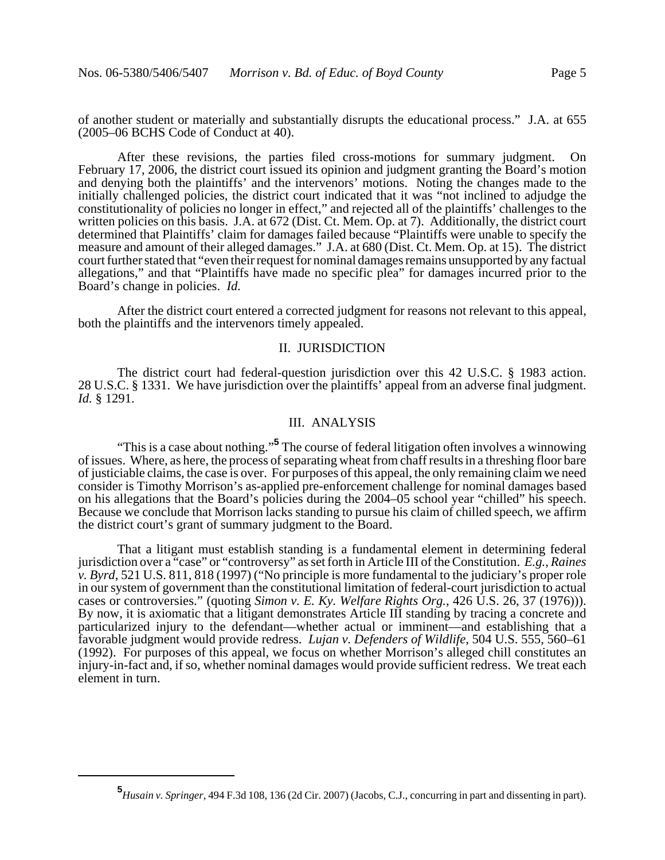of another student or materially and substantially disrupts the educational process." J.A. at 655 (2005–06 BCHS Code of Conduct at 40).

After these revisions, the parties filed cross-motions for summary judgment. On February 17, 2006, the district court issued its opinion and judgment granting the Board's motion and denying both the plaintiffs' and the intervenors' motions. Noting the changes made to the initially challenged policies, the district court indicated that it was "not inclined to adjudge the constitutionality of policies no longer in effect," and rejected all of the plaintiffs' challenges to the written policies on this basis. J.A. at 672 (Dist. Ct. Mem. Op. at 7). Additionally, the district court determined that Plaintiffs' claim for damages failed because "Plaintiffs were unable to specify the measure and amount of their alleged damages." J.A. at 680 (Dist. Ct. Mem. Op. at 15). The district court further stated that "even their request for nominal damages remains unsupported by any factual allegations," and that "Plaintiffs have made no specific plea" for damages incurred prior to the Board's change in policies. *Id.*

After the district court entered a corrected judgment for reasons not relevant to this appeal, both the plaintiffs and the intervenors timely appealed.

## II. JURISDICTION

The district court had federal-question jurisdiction over this 42 U.S.C. § 1983 action. 28 U.S.C. § 1331. We have jurisdiction over the plaintiffs' appeal from an adverse final judgment. *Id.* § 1291.

## III. ANALYSIS

"This is a case about nothing."**<sup>5</sup>** The course of federal litigation often involves a winnowing of issues. Where, as here, the process of separating wheat from chaff results in a threshing floor bare of justiciable claims, the case is over. For purposes of this appeal, the only remaining claim we need consider is Timothy Morrison's as-applied pre-enforcement challenge for nominal damages based on his allegations that the Board's policies during the 2004–05 school year "chilled" his speech. Because we conclude that Morrison lacks standing to pursue his claim of chilled speech, we affirm the district court's grant of summary judgment to the Board.

That a litigant must establish standing is a fundamental element in determining federal jurisdiction over a "case" or "controversy" as set forth in Article III of the Constitution. *E.g.*, *Raines v. Byrd*, 521 U.S. 811, 818 (1997) ("No principle is more fundamental to the judiciary's proper role in our system of government than the constitutional limitation of federal-court jurisdiction to actual cases or controversies." (quoting *Simon v. E. Ky. Welfare Rights Org.*, 426 U.S. 26, 37 (1976))). By now, it is axiomatic that a litigant demonstrates Article III standing by tracing a concrete and particularized injury to the defendant—whether actual or imminent—and establishing that a favorable judgment would provide redress. *Lujan v. Defenders of Wildlife*, 504 U.S. 555, 560–61 (1992). For purposes of this appeal, we focus on whether Morrison's alleged chill constitutes an injury-in-fact and, if so, whether nominal damages would provide sufficient redress. We treat each element in turn.

**<sup>5</sup>** *Husain v. Springer*, 494 F.3d 108, 136 (2d Cir. 2007) (Jacobs, C.J., concurring in part and dissenting in part).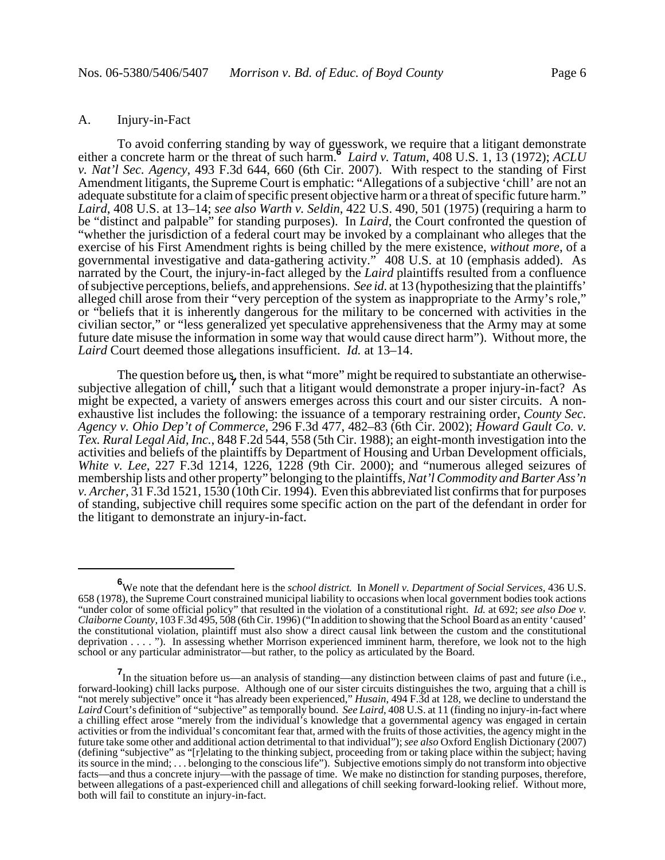## A. Injury-in-Fact

To avoid conferring standing by way of guesswork, we require that a litigant demonstrate either a concrete harm or the threat of such harm. *Laird v. Tatum*, 408 U.S. 1, 13 (1972); *ACLU v. Nat'l Sec. Agency*, 493 F.3d 644, 660 (6th Cir. 2007). With respect to the standing of First Amendment litigants, the Supreme Court is emphatic: "Allegations of a subjective 'chill' are not an adequate substitute for a claim of specific present objective harm or a threat of specific future harm." *Laird*, 408 U.S. at 13–14; *see also Warth v. Seldin*, 422 U.S. 490, 501 (1975) (requiring a harm to be "distinct and palpable" for standing purposes). In *Laird*, the Court confronted the question of "whether the jurisdiction of a federal court may be invoked by a complainant who alleges that the exercise of his First Amendment rights is being chilled by the mere existence, *without more*, of a governmental investigative and data-gathering activity." 408 U.S. at 10 (emphasis added). As narrated by the Court, the injury-in-fact alleged by the *Laird* plaintiffs resulted from a confluence of subjective perceptions, beliefs, and apprehensions. *See id.* at 13 (hypothesizing that the plaintiffs' alleged chill arose from their "very perception of the system as inappropriate to the Army's role," or "beliefs that it is inherently dangerous for the military to be concerned with activities in the civilian sector," or "less generalized yet speculative apprehensiveness that the Army may at some future date misuse the information in some way that would cause direct harm"). Without more, the *Laird* Court deemed those allegations insufficient. *Id.* at 13–14.

The question before us, then, is what "more" might be required to substantiate an otherwisesubjective allegation of chill,<sup>7</sup> such that a litigant would demonstrate a proper injury-in-fact? As might be expected, a variety of answers emerges across this court and our sister circuits. A nonexhaustive list includes the following: the issuance of a temporary restraining order, *County Sec. Agency v. Ohio Dep't of Commerce*, 296 F.3d 477, 482–83 (6th Cir. 2002); *Howard Gault Co. v. Tex. Rural Legal Aid, Inc.*, 848 F.2d 544, 558 (5th Cir. 1988); an eight-month investigation into the activities and beliefs of the plaintiffs by Department of Housing and Urban Development officials, *White v. Lee*, 227 F.3d 1214, 1226, 1228 (9th Cir. 2000); and "numerous alleged seizures of membership lists and other property" belonging to the plaintiffs, *Nat'l Commodity and Barter Ass'n v. Archer*, 31 F.3d 1521, 1530 (10th Cir. 1994). Even this abbreviated list confirms that for purposes of standing, subjective chill requires some specific action on the part of the defendant in order for the litigant to demonstrate an injury-in-fact.

**<sup>6</sup>** We note that the defendant here is the *school district.* In *Monell v. Department of Social Services*, 436 U.S. 658 (1978), the Supreme Court constrained municipal liability to occasions when local government bodies took actions "under color of some official policy" that resulted in the violation of a constitutional right. *Id.* at 692; *see also Doe v. Claiborne County*, 103 F.3d 495, 508 (6th Cir. 1996) ("In addition to showing that the School Board as an entity 'caused' the constitutional violation, plaintiff must also show a direct causal link between the custom and the constitutional deprivation . . . . "). In assessing whether Morrison experienced imminent harm, therefore, we look not to the high school or any particular administrator—but rather, to the policy as articulated by the Board.

**<sup>7</sup>** In the situation before us—an analysis of standing—any distinction between claims of past and future (i.e., forward-looking) chill lacks purpose. Although one of our sister circuits distinguishes the two, arguing that a chill is "not merely subjective" once it "has already been experienced," *Husain*, 494 F.3d at 128, we decline to understand the *Laird* Court's definition of "subjective" as temporally bound. *See Laird*, 408 U.S. at 11 (finding no injury-in-fact where a chilling effect arose "merely from the individual's knowledge that a governmental agency was engaged in certain activities or from the individual's concomitant fear that, armed with the fruits of those activities, the agency might in the future take some other and additional action detrimental to that individual"); *see also* Oxford English Dictionary (2007) (defining "subjective" as "[r]elating to the thinking subject, proceeding from or taking place within the subject; having its source in the mind; . . . belonging to the conscious life"). Subjective emotions simply do not transform into objective facts—and thus a concrete injury—with the passage of time. We make no distinction for standing purposes, therefore, between allegations of a past-experienced chill and allegations of chill seeking forward-looking relief. Without more, both will fail to constitute an injury-in-fact.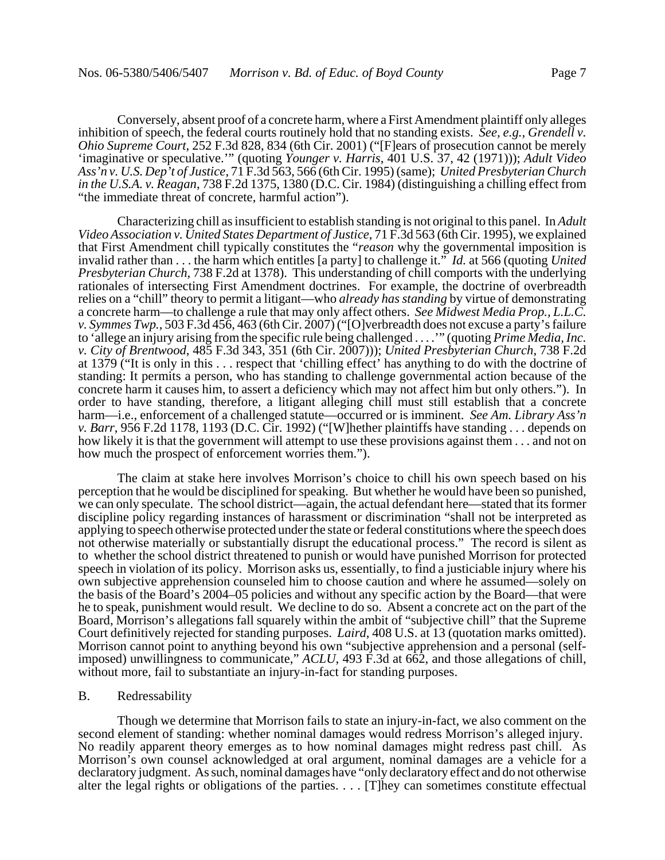Conversely, absent proof of a concrete harm, where a First Amendment plaintiff only alleges inhibition of speech, the federal courts routinely hold that no standing exists. *See, e.g.*, *Grendell v. Ohio Supreme Court*, 252 F.3d 828, 834 (6th Cir. 2001) ("[F]ears of prosecution cannot be merely 'imaginative or speculative.'" (quoting *Younger v. Harris*, 401 U.S. 37, 42 (1971))); *Adult Video Ass'n v. U.S. Dep't of Justice*, 71 F.3d 563, 566 (6th Cir. 1995) (same); *United Presbyterian Church in the U.S.A. v. Reagan*, 738 F.2d 1375, 1380 (D.C. Cir. 1984) (distinguishing a chilling effect from "the immediate threat of concrete, harmful action").

Characterizing chill as insufficient to establish standing is not original to this panel. In *Adult Video Association v. United States Department of Justice*, 71 F.3d 563 (6th Cir. 1995), we explained that First Amendment chill typically constitutes the "*reason* why the governmental imposition is invalid rather than . . . the harm which entitles [a party] to challenge it." *Id.* at 566 (quoting *United Presbyterian Church*, 738 F.2d at 1378). This understanding of chill comports with the underlying rationales of intersecting First Amendment doctrines. For example, the doctrine of overbreadth relies on a "chill" theory to permit a litigant—who *already has standing* by virtue of demonstrating a concrete harm—to challenge a rule that may only affect others. *See Midwest Media Prop., L.L.C. v. Symmes Twp.*, 503 F.3d 456, 463 (6th Cir. 2007) ("[O]verbreadth does not excuse a party's failure to 'allege an injury arising from the specific rule being challenged . . . .'" (quoting *Prime Media, Inc. v. City of Brentwood*, 485 F.3d 343, 351 (6th Cir. 2007))); *United Presbyterian Church*, 738 F.2d at 1379 ("It is only in this . . . respect that 'chilling effect' has anything to do with the doctrine of standing: It permits a person, who has standing to challenge governmental action because of the concrete harm it causes him, to assert a deficiency which may not affect him but only others."). In order to have standing, therefore, a litigant alleging chill must still establish that a concrete harm—i.e., enforcement of a challenged statute—occurred or is imminent. *See Am. Library Ass'n v. Barr*, 956 F.2d 1178, 1193 (D.C. Cir. 1992) ("[W]hether plaintiffs have standing . . . depends on how likely it is that the government will attempt to use these provisions against them . . . and not on how much the prospect of enforcement worries them.").

The claim at stake here involves Morrison's choice to chill his own speech based on his perception that he would be disciplined for speaking. But whether he would have been so punished, we can only speculate. The school district—again, the actual defendant here—stated that its former discipline policy regarding instances of harassment or discrimination "shall not be interpreted as applying to speech otherwise protected under the state or federal constitutions where the speech does not otherwise materially or substantially disrupt the educational process." The record is silent as to whether the school district threatened to punish or would have punished Morrison for protected speech in violation of its policy. Morrison asks us, essentially, to find a justiciable injury where his own subjective apprehension counseled him to choose caution and where he assumed—solely on the basis of the Board's 2004–05 policies and without any specific action by the Board—that were he to speak, punishment would result. We decline to do so. Absent a concrete act on the part of the Board, Morrison's allegations fall squarely within the ambit of "subjective chill" that the Supreme Court definitively rejected for standing purposes. *Laird*, 408 U.S. at 13 (quotation marks omitted). Morrison cannot point to anything beyond his own "subjective apprehension and a personal (selfimposed) unwillingness to communicate," *ACLU*, 493 F.3d at 662, and those allegations of chill, without more, fail to substantiate an injury-in-fact for standing purposes.

#### B. Redressability

Though we determine that Morrison fails to state an injury-in-fact, we also comment on the second element of standing: whether nominal damages would redress Morrison's alleged injury. No readily apparent theory emerges as to how nominal damages might redress past chill. As Morrison's own counsel acknowledged at oral argument, nominal damages are a vehicle for a declaratory judgment. As such, nominal damages have "only declaratory effect and do not otherwise alter the legal rights or obligations of the parties. . . . [T]hey can sometimes constitute effectual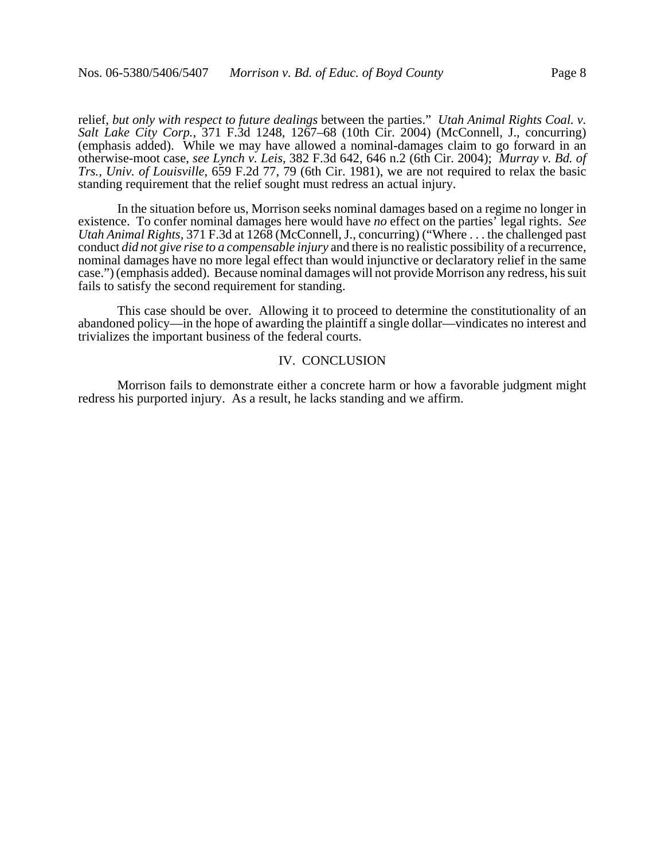relief, *but only with respect to future dealings* between the parties." *Utah Animal Rights Coal. v. Salt Lake City Corp.*, 371 F.3d 1248, 1267–68 (10th Cir. 2004) (McConnell, J., concurring) (emphasis added). While we may have allowed a nominal-damages claim to go forward in an otherwise-moot case, *see Lynch v. Leis*, 382 F.3d 642, 646 n.2 (6th Cir. 2004); *Murray v. Bd. of Trs., Univ. of Louisville*, 659 F.2d 77, 79 (6th Cir. 1981), we are not required to relax the basic standing requirement that the relief sought must redress an actual injury.

In the situation before us, Morrison seeks nominal damages based on a regime no longer in existence. To confer nominal damages here would have *no* effect on the parties' legal rights. *See Utah Animal Rights,* 371 F.3d at 1268 (McConnell, J., concurring) ("Where . . . the challenged past conduct *did not give rise to a compensable injury* and there is no realistic possibility of a recurrence, nominal damages have no more legal effect than would injunctive or declaratory relief in the same case.") (emphasis added). Because nominal damages will not provide Morrison any redress, his suit fails to satisfy the second requirement for standing.

This case should be over. Allowing it to proceed to determine the constitutionality of an abandoned policy—in the hope of awarding the plaintiff a single dollar—vindicates no interest and trivializes the important business of the federal courts.

# IV. CONCLUSION

Morrison fails to demonstrate either a concrete harm or how a favorable judgment might redress his purported injury. As a result, he lacks standing and we affirm.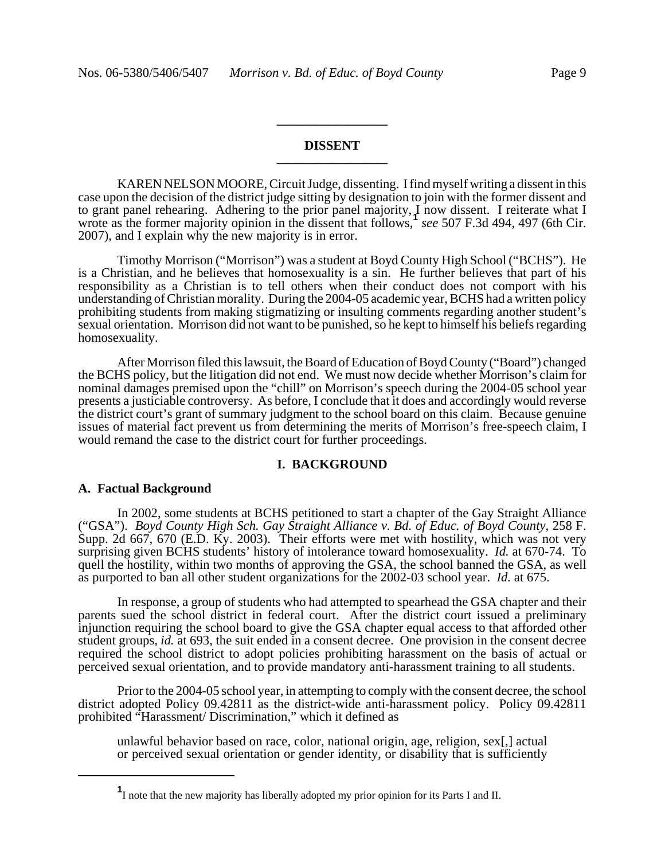# **DISSENT \_\_\_\_\_\_\_\_\_\_\_\_\_\_\_\_\_**

**\_\_\_\_\_\_\_\_\_\_\_\_\_\_\_\_\_**

KAREN NELSON MOORE, Circuit Judge, dissenting. I find myself writing a dissent in this case upon the decision of the district judge sitting by designation to join with the former dissent and to grant panel rehearing. Adhering to the prior panel majority, I now dissent. I reiterate what I wrote as the former majority opinion in the dissent that follows,**<sup>1</sup>** *see* 507 F.3d 494, 497 (6th Cir. 2007), and I explain why the new majority is in error.

Timothy Morrison ("Morrison") was a student at Boyd County High School ("BCHS"). He is a Christian, and he believes that homosexuality is a sin. He further believes that part of his responsibility as a Christian is to tell others when their conduct does not comport with his understanding of Christian morality. During the 2004-05 academic year, BCHS had a written policy prohibiting students from making stigmatizing or insulting comments regarding another student's sexual orientation. Morrison did not want to be punished, so he kept to himself his beliefs regarding homosexuality.

After Morrison filed this lawsuit, the Board of Education of Boyd County ("Board") changed the BCHS policy, but the litigation did not end. We must now decide whether Morrison's claim for nominal damages premised upon the "chill" on Morrison's speech during the 2004-05 school year presents a justiciable controversy. As before, I conclude that it does and accordingly would reverse the district court's grant of summary judgment to the school board on this claim. Because genuine issues of material fact prevent us from determining the merits of Morrison's free-speech claim, I would remand the case to the district court for further proceedings.

## **I. BACKGROUND**

#### **A. Factual Background**

In 2002, some students at BCHS petitioned to start a chapter of the Gay Straight Alliance ("GSA"). *Boyd County High Sch. Gay Straight Alliance v. Bd. of Educ. of Boyd County*, 258 F. Supp. 2d 667, 670 (E.D. Ky. 2003). Their efforts were met with hostility, which was not very surprising given BCHS students' history of intolerance toward homosexuality. *Id.* at 670-74. To quell the hostility, within two months of approving the GSA, the school banned the GSA, as well as purported to ban all other student organizations for the 2002-03 school year. *Id.* at 675.

In response, a group of students who had attempted to spearhead the GSA chapter and their parents sued the school district in federal court. After the district court issued a preliminary injunction requiring the school board to give the GSA chapter equal access to that afforded other student groups, *id.* at 693, the suit ended in a consent decree. One provision in the consent decree required the school district to adopt policies prohibiting harassment on the basis of actual or perceived sexual orientation, and to provide mandatory anti-harassment training to all students.

Prior to the 2004-05 school year, in attempting to comply with the consent decree, the school district adopted Policy 09.42811 as the district-wide anti-harassment policy. Policy 09.42811 prohibited "Harassment/ Discrimination," which it defined as

unlawful behavior based on race, color, national origin, age, religion, sex[,] actual or perceived sexual orientation or gender identity, or disability that is sufficiently

**<sup>1</sup>** I note that the new majority has liberally adopted my prior opinion for its Parts I and II.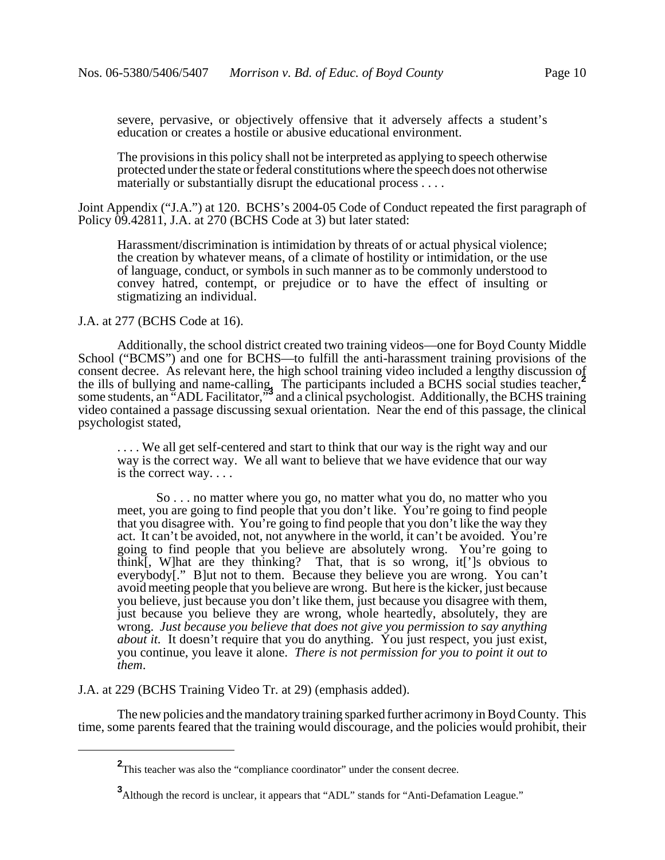severe, pervasive, or objectively offensive that it adversely affects a student's education or creates a hostile or abusive educational environment.

The provisions in this policy shall not be interpreted as applying to speech otherwise protected under the state or federal constitutions where the speech does not otherwise materially or substantially disrupt the educational process . . . .

Joint Appendix ("J.A.") at 120. BCHS's 2004-05 Code of Conduct repeated the first paragraph of Policy  $\overline{09}$ .42811, J.A. at 270 (BCHS Code at 3) but later stated:

Harassment/discrimination is intimidation by threats of or actual physical violence; the creation by whatever means, of a climate of hostility or intimidation, or the use of language, conduct, or symbols in such manner as to be commonly understood to convey hatred, contempt, or prejudice or to have the effect of insulting or stigmatizing an individual.

J.A. at 277 (BCHS Code at 16).

Additionally, the school district created two training videos—one for Boyd County Middle School ("BCMS") and one for BCHS—to fulfill the anti-harassment training provisions of the consent decree. As relevant here, the high school training video included a lengthy discussion of the ills of bullying and name-calling. The participants included a BCHS social studies teacher,**<sup>2</sup>** some students, an "ADL Facilitator,"<sup>3</sup> and a clinical psychologist. Additionally, the BCHS training video contained a passage discussing sexual orientation. Near the end of this passage, the clinical psychologist stated,

.... We all get self-centered and start to think that our way is the right way and our way is the correct way. We all want to believe that we have evidence that our way is the correct way. . . .

So . . . no matter where you go, no matter what you do, no matter who you meet, you are going to find people that you don't like. You're going to find people that you disagree with. You're going to find people that you don't like the way they act. It can't be avoided, not, not anywhere in the world, it can't be avoided. You're going to find people that you believe are absolutely wrong. You're going to think[, W]hat are they thinking? That, that is so wrong, it[']s obvious to everybody[." B]ut not to them. Because they believe you are wrong. You can't avoid meeting people that you believe are wrong. But here is the kicker, just because you believe, just because you don't like them, just because you disagree with them, just because you believe they are wrong, whole heartedly, absolutely, they are wrong. *Just because you believe that does not give you permission to say anything about it.* It doesn't require that you do anything. You just respect, you just exist, you continue, you leave it alone. *There is not permission for you to point it out to them*.

J.A. at 229 (BCHS Training Video Tr. at 29) (emphasis added).

The new policies and the mandatory training sparked further acrimony in Boyd County. This time, some parents feared that the training would discourage, and the policies would prohibit, their

**<sup>2</sup>** This teacher was also the "compliance coordinator" under the consent decree.

**<sup>3</sup>**<br>Although the record is unclear, it appears that "ADL" stands for "Anti-Defamation League."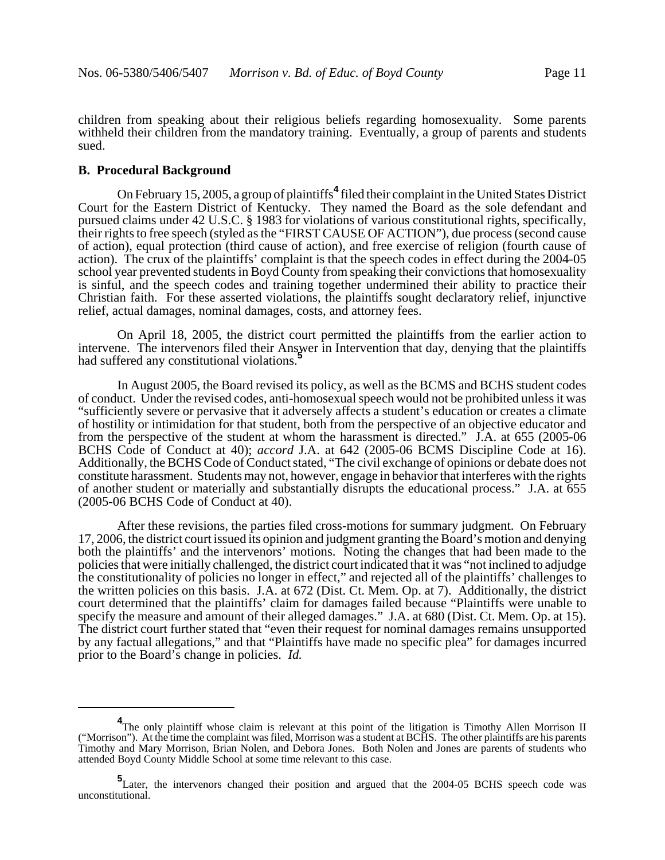children from speaking about their religious beliefs regarding homosexuality. Some parents withheld their children from the mandatory training. Eventually, a group of parents and students sued.

# **B. Procedural Background**

On February 15, 2005, a group of plaintiffs**<sup>4</sup>** filed their complaint in the United States District Court for the Eastern District of Kentucky. They named the Board as the sole defendant and pursued claims under 42 U.S.C. § 1983 for violations of various constitutional rights, specifically, their rights to free speech (styled as the "FIRST CAUSE OF ACTION"), due process (second cause of action), equal protection (third cause of action), and free exercise of religion (fourth cause of action). The crux of the plaintiffs' complaint is that the speech codes in effect during the 2004-05 school year prevented students in Boyd County from speaking their convictions that homosexuality is sinful, and the speech codes and training together undermined their ability to practice their Christian faith. For these asserted violations, the plaintiffs sought declaratory relief, injunctive relief, actual damages, nominal damages, costs, and attorney fees.

On April 18, 2005, the district court permitted the plaintiffs from the earlier action to intervene. The intervenors filed their Answer in Intervention that day, denying that the plaintiffs had suffered any constitutional violations.<sup>5</sup>

In August 2005, the Board revised its policy, as well as the BCMS and BCHS student codes of conduct. Under the revised codes, anti-homosexual speech would not be prohibited unless it was "sufficiently severe or pervasive that it adversely affects a student's education or creates a climate of hostility or intimidation for that student, both from the perspective of an objective educator and from the perspective of the student at whom the harassment is directed." J.A. at 655 (2005-06 BCHS Code of Conduct at 40); *accord* J.A. at 642 (2005-06 BCMS Discipline Code at 16). Additionally, the BCHS Code of Conduct stated, "The civil exchange of opinions or debate does not constitute harassment. Students may not, however, engage in behavior that interferes with the rights of another student or materially and substantially disrupts the educational process." J.A. at 655 (2005-06 BCHS Code of Conduct at 40).

After these revisions, the parties filed cross-motions for summary judgment. On February 17, 2006, the district court issued its opinion and judgment granting the Board's motion and denying both the plaintiffs' and the intervenors' motions. Noting the changes that had been made to the policies that were initially challenged, the district court indicated that it was "not inclined to adjudge the constitutionality of policies no longer in effect," and rejected all of the plaintiffs' challenges to the written policies on this basis. J.A. at 672 (Dist. Ct. Mem. Op. at 7). Additionally, the district court determined that the plaintiffs' claim for damages failed because "Plaintiffs were unable to specify the measure and amount of their alleged damages." J.A. at 680 (Dist. Ct. Mem. Op. at 15). The district court further stated that "even their request for nominal damages remains unsupported by any factual allegations," and that "Plaintiffs have made no specific plea" for damages incurred prior to the Board's change in policies. *Id.*

<sup>&</sup>lt;sup>4</sup>The only plaintiff whose claim is relevant at this point of the litigation is Timothy Allen Morrison II ("Morrison"). At the time the complaint was filed, Morrison was a student at BCHS. The other plaintiffs are his parents Timothy and Mary Morrison, Brian Nolen, and Debora Jones. Both Nolen and Jones are parents of students who attended Boyd County Middle School at some time relevant to this case.

**<sup>5</sup>** Later, the intervenors changed their position and argued that the 2004-05 BCHS speech code was unconstitutional.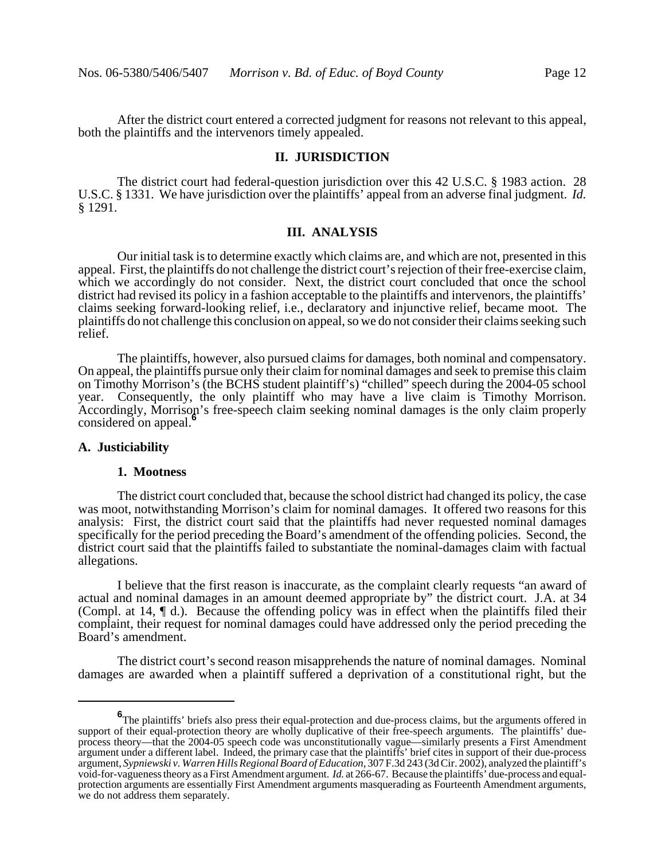After the district court entered a corrected judgment for reasons not relevant to this appeal, both the plaintiffs and the intervenors timely appealed.

## **II. JURISDICTION**

The district court had federal-question jurisdiction over this 42 U.S.C. § 1983 action. 28 U.S.C. § 1331. We have jurisdiction over the plaintiffs' appeal from an adverse final judgment. *Id.* § 1291.

# **III. ANALYSIS**

Our initial task is to determine exactly which claims are, and which are not, presented in this appeal. First, the plaintiffs do not challenge the district court's rejection of their free-exercise claim, which we accordingly do not consider. Next, the district court concluded that once the school district had revised its policy in a fashion acceptable to the plaintiffs and intervenors, the plaintiffs' claims seeking forward-looking relief, i.e., declaratory and injunctive relief, became moot. The plaintiffs do not challenge this conclusion on appeal, so we do not consider their claims seeking such relief.

The plaintiffs, however, also pursued claims for damages, both nominal and compensatory. On appeal, the plaintiffs pursue only their claim for nominal damages and seek to premise this claim on Timothy Morrison's (the BCHS student plaintiff's) "chilled" speech during the 2004-05 school year. Consequently, the only plaintiff who may have a live claim is Timothy Morrison. Accordingly, Morrison's free-speech claim seeking nominal damages is the only claim properly considered on appeal.**<sup>6</sup>**

# **A. Justiciability**

#### **1. Mootness**

The district court concluded that, because the school district had changed its policy, the case was moot, notwithstanding Morrison's claim for nominal damages. It offered two reasons for this analysis: First, the district court said that the plaintiffs had never requested nominal damages specifically for the period preceding the Board's amendment of the offending policies. Second, the district court said that the plaintiffs failed to substantiate the nominal-damages claim with factual allegations.

I believe that the first reason is inaccurate, as the complaint clearly requests "an award of actual and nominal damages in an amount deemed appropriate by" the district court. J.A. at 34 (Compl. at 14, ¶ d.). Because the offending policy was in effect when the plaintiffs filed their complaint, their request for nominal damages could have addressed only the period preceding the Board's amendment.

The district court's second reason misapprehends the nature of nominal damages. Nominal damages are awarded when a plaintiff suffered a deprivation of a constitutional right, but the

**<sup>6</sup>** The plaintiffs' briefs also press their equal-protection and due-process claims, but the arguments offered in support of their equal-protection theory are wholly duplicative of their free-speech arguments. The plaintiffs' dueprocess theory—that the 2004-05 speech code was unconstitutionally vague—similarly presents a First Amendment argument under a different label. Indeed, the primary case that the plaintiffs' brief cites in support of their due-process argument, *Sypniewski v. Warren Hills Regional Board of Education*, 307 F.3d 243 (3d Cir. 2002), analyzed the plaintiff's void-for-vagueness theory as a First Amendment argument. *Id.* at 266-67. Because the plaintiffs' due-process and equalprotection arguments are essentially First Amendment arguments masquerading as Fourteenth Amendment arguments, we do not address them separately.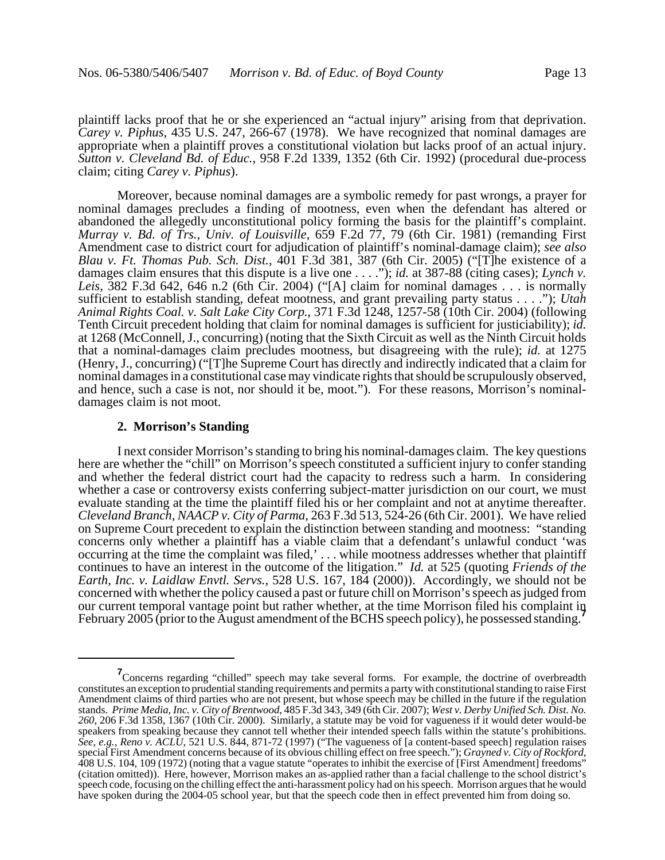plaintiff lacks proof that he or she experienced an "actual injury" arising from that deprivation. *Carey v. Piphus*, 435 U.S. 247, 266-67 (1978). We have recognized that nominal damages are appropriate when a plaintiff proves a constitutional violation but lacks proof of an actual injury. *Sutton v. Cleveland Bd. of Educ.*, 958 F.2d 1339, 1352 (6th Cir. 1992) (procedural due-process claim; citing *Carey v. Piphus*).

Moreover, because nominal damages are a symbolic remedy for past wrongs, a prayer for nominal damages precludes a finding of mootness, even when the defendant has altered or abandoned the allegedly unconstitutional policy forming the basis for the plaintiff's complaint. *Murray v. Bd. of Trs., Univ. of Louisville*, 659 F.2d 77, 79 (6th Cir. 1981) (remanding First Amendment case to district court for adjudication of plaintiff's nominal-damage claim); *see also Blau v. Ft. Thomas Pub. Sch. Dist.*, 401 F.3d 381, 387 (6th Cir. 2005) ("[T]he existence of a damages claim ensures that this dispute is a live one . . . ."); *id.* at 387-88 (citing cases); *Lynch v. Leis*, 382 F.3d 642, 646 n.2 (6th Cir. 2004) ("[A] claim for nominal damages . . . is normally sufficient to establish standing, defeat mootness, and grant prevailing party status . . . ."); *Utah Animal Rights Coal. v. Salt Lake City Corp.*, 371 F.3d 1248, 1257-58 (10th Cir. 2004) (following Tenth Circuit precedent holding that claim for nominal damages is sufficient for justiciability); *id.* at 1268 (McConnell, J., concurring) (noting that the Sixth Circuit as well as the Ninth Circuit holds that a nominal-damages claim precludes mootness, but disagreeing with the rule); *id.* at 1275 (Henry, J., concurring) ("[T]he Supreme Court has directly and indirectly indicated that a claim for nominal damages in a constitutional case may vindicate rights that should be scrupulously observed, and hence, such a case is not, nor should it be, moot."). For these reasons, Morrison's nominaldamages claim is not moot.

#### **2. Morrison's Standing**

I next consider Morrison's standing to bring his nominal-damages claim. The key questions here are whether the "chill" on Morrison's speech constituted a sufficient injury to confer standing and whether the federal district court had the capacity to redress such a harm. In considering whether a case or controversy exists conferring subject-matter jurisdiction on our court, we must evaluate standing at the time the plaintiff filed his or her complaint and not at anytime thereafter. *Cleveland Branch, NAACP v. City of Parma*, 263 F.3d 513, 524-26 (6th Cir. 2001). We have relied on Supreme Court precedent to explain the distinction between standing and mootness: "standing concerns only whether a plaintiff has a viable claim that a defendant's unlawful conduct 'was occurring at the time the complaint was filed,' . . . while mootness addresses whether that plaintiff continues to have an interest in the outcome of the litigation." *Id.* at 525 (quoting *Friends of the Earth, Inc. v. Laidlaw Envtl. Servs.*, 528 U.S. 167, 184 (2000)). Accordingly, we should not be concerned with whether the policy caused a past or future chill on Morrison's speech as judged from our current temporal vantage point but rather whether, at the time Morrison filed his complaint in February 2005 (prior to the August amendment of the BCHS speech policy), he possessed standing.**<sup>7</sup>**

<sup>&</sup>lt;sup>7</sup> Concerns regarding "chilled" speech may take several forms. For example, the doctrine of overbreadth constitutes an exception to prudential standing requirements and permits a party with constitutional standing to raise First Amendment claims of third parties who are not present, but whose speech may be chilled in the future if the regulation stands. *Prime Media, Inc. v. City of Brentwood*, 485 F.3d 343, 349 (6th Cir. 2007); *West v. Derby Unified Sch. Dist. No. 260*, 206 F.3d 1358, 1367 (10th Cir. 2000). Similarly, a statute may be void for vagueness if it would deter would-be speakers from speaking because they cannot tell whether their intended speech falls within the statute's prohibitions. *See, e.g., Reno v. ACLU*, 521 U.S. 844, 871-72 (1997) ("The vagueness of [a content-based speech] regulation raises special First Amendment concerns because of its obvious chilling effect on free speech."); *Grayned v. Ci* 408 U.S. 104, 109 (1972) (noting that a vague statute "operates to inhibit the exercise of [First Amendment] freedoms" (citation omitted)). Here, however, Morrison makes an as-applied rather than a facial challenge to the school district's speech code, focusing on the chilling effect the anti-harassment policy had on his speech. Morrison argues that he would have spoken during the 2004-05 school year, but that the speech code then in effect prevented him from doing so.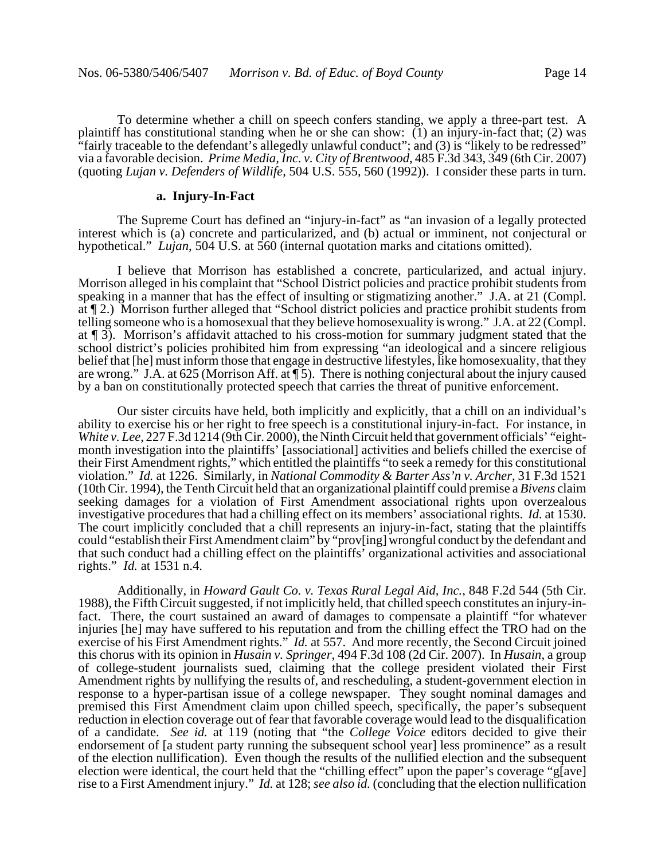To determine whether a chill on speech confers standing, we apply a three-part test. A plaintiff has constitutional standing when he or she can show:  $(1)$  an injury-in-fact that; (2) was "fairly traceable to the defendant's allegedly unlawful conduct"; and (3) is "likely to be redressed" via a favorable decision. *Prime Media, Inc. v. City of Brentwood*, 485 F.3d 343, 349 (6th Cir. 2007) (quoting *Lujan v. Defenders of Wildlife*, 504 U.S. 555, 560 (1992)). I consider these parts in turn.

# **a. Injury-In-Fact**

The Supreme Court has defined an "injury-in-fact" as "an invasion of a legally protected interest which is (a) concrete and particularized, and (b) actual or imminent, not conjectural or hypothetical." *Lujan*, 504 U.S. at 560 (internal quotation marks and citations omitted).

I believe that Morrison has established a concrete, particularized, and actual injury. Morrison alleged in his complaint that "School District policies and practice prohibit students from speaking in a manner that has the effect of insulting or stigmatizing another." J.A. at 21 (Compl. at ¶ 2.) Morrison further alleged that "School district policies and practice prohibit students from telling someone who is a homosexual that they believe homosexuality is wrong." J.A. at 22 (Compl. at ¶ 3). Morrison's affidavit attached to his cross-motion for summary judgment stated that the school district's policies prohibited him from expressing "an ideological and a sincere religious belief that [he] must inform those that engage in destructive lifestyles, like homosexuality, that they are wrong." J.A. at 625 (Morrison Aff. at ¶ 5). There is nothing conjectural about the injury caused by a ban on constitutionally protected speech that carries the threat of punitive enforcement.

Our sister circuits have held, both implicitly and explicitly, that a chill on an individual's ability to exercise his or her right to free speech is a constitutional injury-in-fact. For instance, in *White v. Lee*, 227 F.3d 1214 (9th Cir. 2000), the Ninth Circuit held that government officials' "eightmonth investigation into the plaintiffs' [associational] activities and beliefs chilled the exercise of their First Amendment rights," which entitled the plaintiffs "to seek a remedy for this constitutional violation." *Id.* at 1226. Similarly, in *National Commodity & Barter Ass'n v. Archer*, 31 F.3d 1521 (10th Cir. 1994), the Tenth Circuit held that an organizational plaintiff could premise a *Bivens* claim seeking damages for a violation of First Amendment associational rights upon overzealous investigative procedures that had a chilling effect on its members' associational rights. *Id.* at 1530. The court implicitly concluded that a chill represents an injury-in-fact, stating that the plaintiffs could "establish their First Amendment claim" by "prov[ing] wrongful conduct by the defendant and that such conduct had a chilling effect on the plaintiffs' organizational activities and associational rights." *Id.* at 1531 n.4.

Additionally, in *Howard Gault Co. v. Texas Rural Legal Aid, Inc.*, 848 F.2d 544 (5th Cir. 1988), the Fifth Circuit suggested, if not implicitly held, that chilled speech constitutes an injury-infact. There, the court sustained an award of damages to compensate a plaintiff "for whatever injuries [he] may have suffered to his reputation and from the chilling effect the TRO had on the exercise of his First Amendment rights." *Id.* at 557. And more recently, the Second Circuit joined this chorus with its opinion in *Husain v. Springer*, 494 F.3d 108 (2d Cir. 2007). In *Husain*, a group of college-student journalists sued, claiming that the college president violated their First Amendment rights by nullifying the results of, and rescheduling, a student-government election in response to a hyper-partisan issue of a college newspaper. They sought nominal damages and premised this First Amendment claim upon chilled speech, specifically, the paper's subsequent reduction in election coverage out of fear that favorable coverage would lead to the disqualification of a candidate. *See id.* at 119 (noting that "the *College Voice* editors decided to give their endorsement of [a student party running the subsequent school year] less prominence" as a result of the election nullification). Even though the results of the nullified election and the subsequent election were identical, the court held that the "chilling effect" upon the paper's coverage "g[ave] rise to a First Amendment injury." *Id.* at 128; *see also id.* (concluding that the election nullification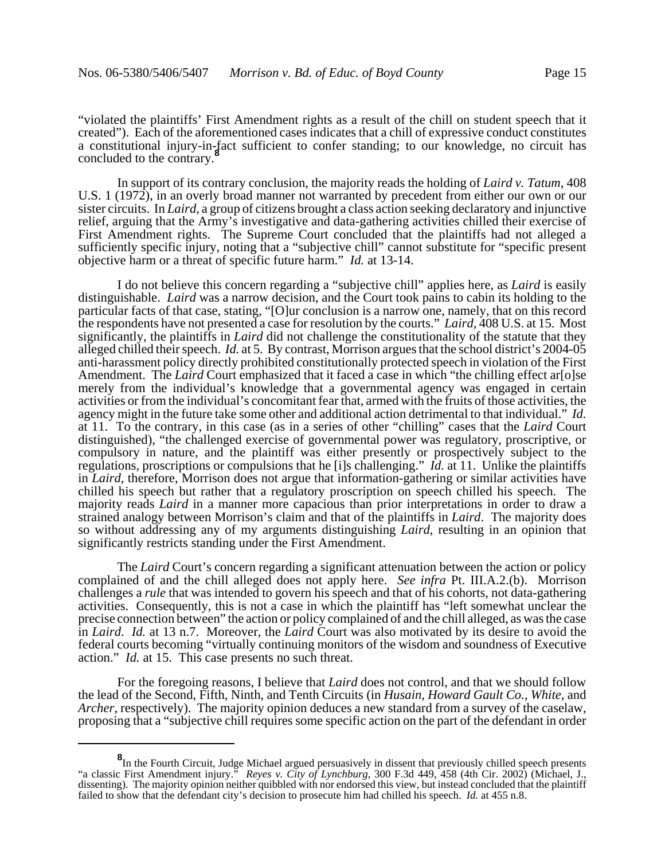"violated the plaintiffs' First Amendment rights as a result of the chill on student speech that it created"). Each of the aforementioned cases indicates that a chill of expressive conduct constitutes a constitutional injury-in-fact sufficient to confer standing; to our knowledge, no circuit has concluded to the contrary.<sup>8</sup>

In support of its contrary conclusion, the majority reads the holding of *Laird v. Tatum*, 408 U.S. 1 (1972), in an overly broad manner not warranted by precedent from either our own or our sister circuits. In *Laird*, a group of citizens brought a class action seeking declaratory and injunctive relief, arguing that the Army's investigative and data-gathering activities chilled their exercise of First Amendment rights. The Supreme Court concluded that the plaintiffs had not alleged a sufficiently specific injury, noting that a "subjective chill" cannot substitute for "specific present objective harm or a threat of specific future harm." *Id.* at 13-14.

I do not believe this concern regarding a "subjective chill" applies here, as *Laird* is easily distinguishable. *Laird* was a narrow decision, and the Court took pains to cabin its holding to the particular facts of that case, stating, "[O]ur conclusion is a narrow one, namely, that on this record the respondents have not presented a case for resolution by the courts." *Laird*, 408 U.S. at 15. Most significantly, the plaintiffs in *Laird* did not challenge the constitutionality of the statute that they alleged chilled their speech. *Id.* at 5. By contrast, Morrison argues that the school district's 2004-05 anti-harassment policy directly prohibited constitutionally protected speech in violation of the First Amendment. The *Laird* Court emphasized that it faced a case in which "the chilling effect ar[o]se merely from the individual's knowledge that a governmental agency was engaged in certain activities or from the individual's concomitant fear that, armed with the fruits of those activities, the agency might in the future take some other and additional action detrimental to that individual." *Id.* at 11. To the contrary, in this case (as in a series of other "chilling" cases that the *Laird* Court distinguished), "the challenged exercise of governmental power was regulatory, proscriptive, or compulsory in nature, and the plaintiff was either presently or prospectively subject to the regulations, proscriptions or compulsions that he [i]s challenging." *Id.* at 11. Unlike the plaintiffs in *Laird*, therefore, Morrison does not argue that information-gathering or similar activities have chilled his speech but rather that a regulatory proscription on speech chilled his speech. The majority reads *Laird* in a manner more capacious than prior interpretations in order to draw a strained analogy between Morrison's claim and that of the plaintiffs in *Laird*. The majority does so without addressing any of my arguments distinguishing *Laird*, resulting in an opinion that significantly restricts standing under the First Amendment.

The *Laird* Court's concern regarding a significant attenuation between the action or policy complained of and the chill alleged does not apply here. *See infra* Pt. III.A.2.(b). Morrison challenges a *rule* that was intended to govern his speech and that of his cohorts, not data-gathering activities. Consequently, this is not a case in which the plaintiff has "left somewhat unclear the precise connection between" the action or policy complained of and the chill alleged, as was the case in *Laird*. *Id.* at 13 n.7. Moreover, the *Laird* Court was also motivated by its desire to avoid the federal courts becoming "virtually continuing monitors of the wisdom and soundness of Executive action." *Id.* at 15. This case presents no such threat.

For the foregoing reasons, I believe that *Laird* does not control, and that we should follow the lead of the Second, Fifth, Ninth, and Tenth Circuits (in *Husain*, *Howard Gault Co.*, *White*, and *Archer*, respectively). The majority opinion deduces a new standard from a survey of the caselaw, proposing that a "subjective chill requires some specific action on the part of the defendant in order

**<sup>8</sup>** In the Fourth Circuit, Judge Michael argued persuasively in dissent that previously chilled speech presents "a classic First Amendment injury." *Reyes v. City of Lynchburg*, 300 F.3d 449, 458 (4th Cir. 2002) (Michael, J., dissenting). The majority opinion neither quibbled with nor endorsed this view, but instead concluded that the plaintiff failed to show that the defendant city's decision to prosecute him had chilled his speech. *Id.* at 455 n.8.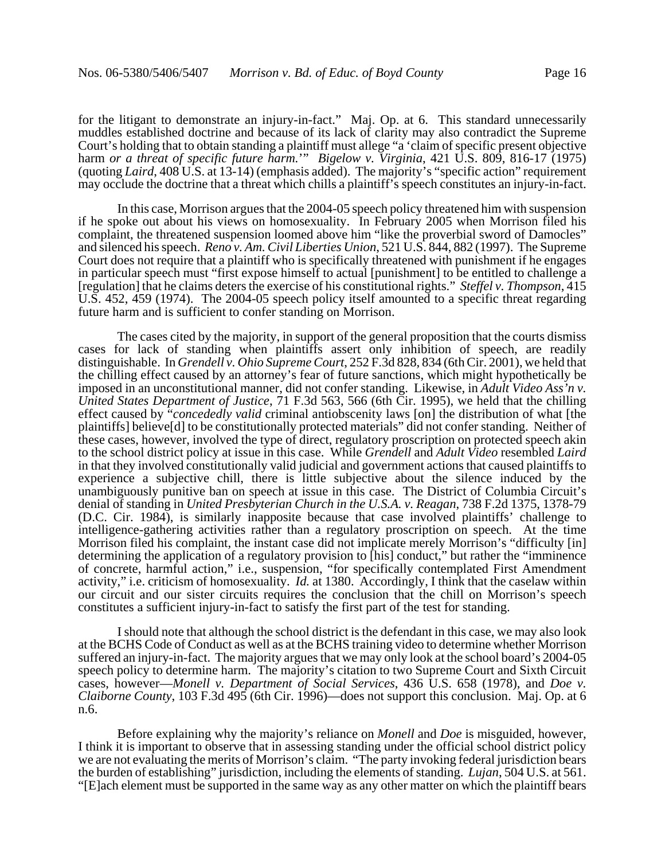for the litigant to demonstrate an injury-in-fact." Maj. Op. at 6. This standard unnecessarily muddles established doctrine and because of its lack of clarity may also contradict the Supreme Court's holding that to obtain standing a plaintiff must allege "a 'claim of specific present objective harm *or a threat of specific future harm.*'" *Bigelow v. Virginia*, 421 U.S. 809, 816-17 (1975) (quoting *Laird*, 408 U.S. at 13-14) (emphasis added). The majority's "specific action" requirement may occlude the doctrine that a threat which chills a plaintiff's speech constitutes an injury-in-fact.

In this case, Morrison argues that the 2004-05 speech policy threatened him with suspension if he spoke out about his views on homosexuality. In February 2005 when Morrison filed his complaint, the threatened suspension loomed above him "like the proverbial sword of Damocles" and silenced his speech. *Reno v. Am. Civil Liberties Union*, 521 U.S. 844, 882 (1997). The Supreme Court does not require that a plaintiff who is specifically threatened with punishment if he engages in particular speech must "first expose himself to actual [punishment] to be entitled to challenge a [regulation] that he claims deters the exercise of his constitutional rights." *Steffel v. Thompson*, 415 U.S. 452, 459 (1974). The 2004-05 speech policy itself amounted to a specific threat regarding future harm and is sufficient to confer standing on Morrison.

The cases cited by the majority, in support of the general proposition that the courts dismiss cases for lack of standing when plaintiffs assert only inhibition of speech, are readily distinguishable. In *Grendell v. Ohio Supreme Court*, 252 F.3d 828, 834 (6th Cir. 2001), we held that the chilling effect caused by an attorney's fear of future sanctions, which might hypothetically be imposed in an unconstitutional manner, did not confer standing. Likewise, in *Adult Video Ass'n v. United States Department of Justice*, 71 F.3d 563, 566 (6th Cir. 1995), we held that the chilling effect caused by "*concededly valid* criminal antiobscenity laws [on] the distribution of what [the plaintiffs] believe[d] to be constitutionally protected materials" did not confer standing. Neither of these cases, however, involved the type of direct, regulatory proscription on protected speech akin to the school district policy at issue in this case. While *Grendell* and *Adult Video* resembled *Laird* in that they involved constitutionally valid judicial and government actions that caused plaintiffs to experience a subjective chill, there is little subjective about the silence induced by the unambiguously punitive ban on speech at issue in this case. The District of Columbia Circuit's denial of standing in *United Presbyterian Church in the U.S.A. v. Reagan*, 738 F.2d 1375, 1378-79 (D.C. Cir. 1984), is similarly inapposite because that case involved plaintiffs' challenge to intelligence-gathering activities rather than a regulatory proscription on speech. At the time Morrison filed his complaint, the instant case did not implicate merely Morrison's "difficulty [in] determining the application of a regulatory provision to [his] conduct," but rather the "imminence of concrete, harmful action," i.e., suspension, "for specifically contemplated First Amendment activity," i.e. criticism of homosexuality. *Id.* at 1380. Accordingly, I think that the caselaw within our circuit and our sister circuits requires the conclusion that the chill on Morrison's speech constitutes a sufficient injury-in-fact to satisfy the first part of the test for standing.

I should note that although the school district is the defendant in this case, we may also look at the BCHS Code of Conduct as well as at the BCHS training video to determine whether Morrison suffered an injury-in-fact. The majority argues that we may only look at the school board's 2004-05 speech policy to determine harm. The majority's citation to two Supreme Court and Sixth Circuit cases, however—*Monell v. Department of Social Services*, 436 U.S. 658 (1978), and *Doe v. Claiborne County*, 103 F.3d 495 (6th Cir. 1996)—does not support this conclusion. Maj. Op. at 6 n.6.

Before explaining why the majority's reliance on *Monell* and *Doe* is misguided, however, I think it is important to observe that in assessing standing under the official school district policy we are not evaluating the merits of Morrison's claim. "The party invoking federal jurisdiction bears the burden of establishing" jurisdiction, including the elements of standing. *Lujan*, 504 U.S. at 561. "[E]ach element must be supported in the same way as any other matter on which the plaintiff bears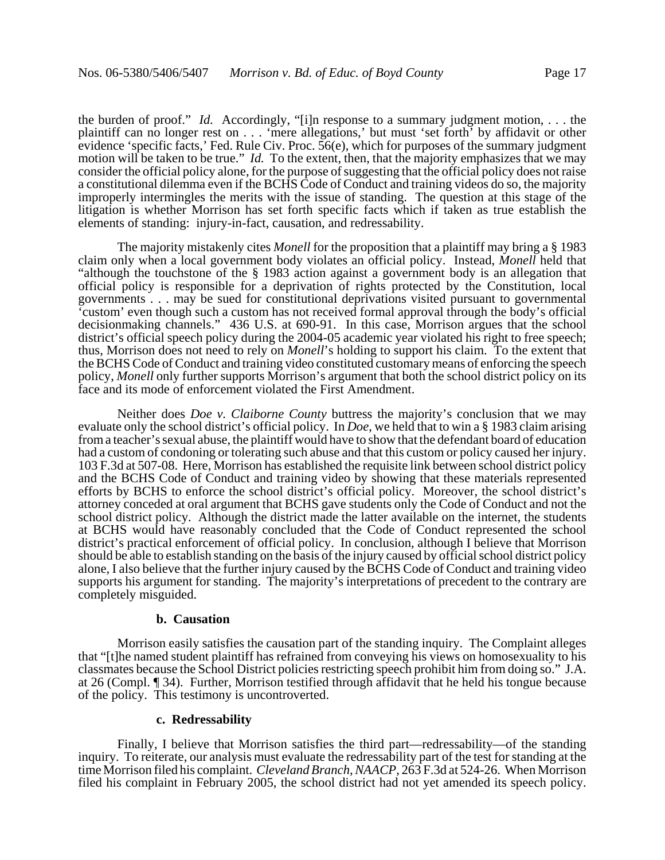the burden of proof." *Id.* Accordingly, "[i]n response to a summary judgment motion, . . . the plaintiff can no longer rest on . . . 'mere allegations,' but must 'set forth' by affidavit or other evidence 'specific facts,' Fed. Rule Civ. Proc. 56(e), which for purposes of the summary judgment motion will be taken to be true." *Id.* To the extent, then, that the majority emphasizes that we may consider the official policy alone, for the purpose of suggesting that the official policy does not raise a constitutional dilemma even if the BCHS Code of Conduct and training videos do so, the majority improperly intermingles the merits with the issue of standing. The question at this stage of the litigation is whether Morrison has set forth specific facts which if taken as true establish the elements of standing: injury-in-fact, causation, and redressability.

The majority mistakenly cites *Monell* for the proposition that a plaintiff may bring a § 1983 claim only when a local government body violates an official policy. Instead, *Monell* held that "although the touchstone of the § 1983 action against a government body is an allegation that official policy is responsible for a deprivation of rights protected by the Constitution, local governments . . . may be sued for constitutional deprivations visited pursuant to governmental 'custom' even though such a custom has not received formal approval through the body's official decisionmaking channels." 436 U.S. at 690-91. In this case, Morrison argues that the school district's official speech policy during the 2004-05 academic year violated his right to free speech; thus, Morrison does not need to rely on *Monell*'s holding to support his claim. To the extent that the BCHS Code of Conduct and training video constituted customary means of enforcing the speech policy, *Monell* only further supports Morrison's argument that both the school district policy on its face and its mode of enforcement violated the First Amendment.

Neither does *Doe v. Claiborne County* buttress the majority's conclusion that we may evaluate only the school district's official policy. In *Doe*, we held that to win a § 1983 claim arising from a teacher's sexual abuse, the plaintiff would have to show that the defendant board of education had a custom of condoning or tolerating such abuse and that this custom or policy caused her injury. 103 F.3d at 507-08. Here, Morrison has established the requisite link between school district policy and the BCHS Code of Conduct and training video by showing that these materials represented efforts by BCHS to enforce the school district's official policy. Moreover, the school district's attorney conceded at oral argument that BCHS gave students only the Code of Conduct and not the school district policy. Although the district made the latter available on the internet, the students at BCHS would have reasonably concluded that the Code of Conduct represented the school district's practical enforcement of official policy. In conclusion, although I believe that Morrison should be able to establish standing on the basis of the injury caused by official school district policy alone, I also believe that the further injury caused by the BCHS Code of Conduct and training video supports his argument for standing. The majority's interpretations of precedent to the contrary are completely misguided.

#### **b. Causation**

Morrison easily satisfies the causation part of the standing inquiry. The Complaint alleges that "[t]he named student plaintiff has refrained from conveying his views on homosexuality to his classmates because the School District policies restricting speech prohibit him from doing so." J.A. at 26 (Compl. ¶ 34). Further, Morrison testified through affidavit that he held his tongue because of the policy. This testimony is uncontroverted.

## **c. Redressability**

Finally, I believe that Morrison satisfies the third part—redressability—of the standing inquiry. To reiterate, our analysis must evaluate the redressability part of the test for standing at the time Morrison filed his complaint. *Cleveland Branch, NAACP*, 263 F.3d at 524-26. When Morrison filed his complaint in February 2005, the school district had not yet amended its speech policy.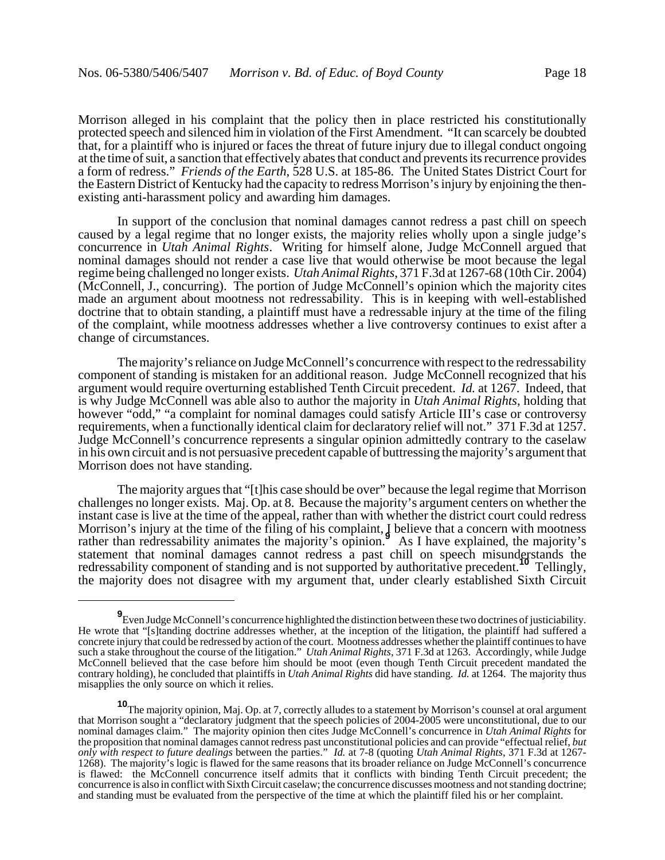Morrison alleged in his complaint that the policy then in place restricted his constitutionally protected speech and silenced him in violation of the First Amendment. "It can scarcely be doubted that, for a plaintiff who is injured or faces the threat of future injury due to illegal conduct ongoing at the time of suit, a sanction that effectively abates that conduct and prevents its recurrence provides a form of redress." *Friends of the Earth*, 528 U.S. at 185-86. The United States District Court for the Eastern District of Kentucky had the capacity to redress Morrison's injury by enjoining the thenexisting anti-harassment policy and awarding him damages.

In support of the conclusion that nominal damages cannot redress a past chill on speech caused by a legal regime that no longer exists, the majority relies wholly upon a single judge's concurrence in *Utah Animal Rights*. Writing for himself alone, Judge McConnell argued that nominal damages should not render a case live that would otherwise be moot because the legal regime being challenged no longer exists. *Utah Animal Rights*, 371 F.3d at 1267-68 (10th Cir. 2004) (McConnell, J., concurring). The portion of Judge McConnell's opinion which the majority cites made an argument about mootness not redressability. This is in keeping with well-established doctrine that to obtain standing, a plaintiff must have a redressable injury at the time of the filing of the complaint, while mootness addresses whether a live controversy continues to exist after a change of circumstances.

The majority's reliance on Judge McConnell's concurrence with respect to the redressability component of standing is mistaken for an additional reason. Judge McConnell recognized that his argument would require overturning established Tenth Circuit precedent. *Id.* at 1267. Indeed, that is why Judge McConnell was able also to author the majority in *Utah Animal Rights*, holding that however "odd," "a complaint for nominal damages could satisfy Article III's case or controversy requirements, when a functionally identical claim for declaratory relief will not." 371 F.3d at 1257. Judge McConnell's concurrence represents a singular opinion admittedly contrary to the caselaw in his own circuit and is not persuasive precedent capable of buttressing the majority's argument that Morrison does not have standing.

The majority argues that "[t]his case should be over" because the legal regime that Morrison challenges no longer exists. Maj. Op. at 8. Because the majority's argument centers on whether the instant case is live at the time of the appeal, rather than with whether the district court could redress Morrison's injury at the time of the filing of his complaint, I believe that a concern with mootness rather than redressability animates the majority's opinion.<sup>9</sup> As I have explained, the majority's statement that nominal damages cannot redress a past chill on speech misunderstands the redressability component of standing and is not supported by authoritative precedent.**<sup>10</sup>** Tellingly, the majority does not disagree with my argument that, under clearly established Sixth Circuit

**<sup>9</sup>** Even Judge McConnell's concurrence highlighted the distinction between these two doctrines of justiciability. He wrote that "[s]tanding doctrine addresses whether, at the inception of the litigation, the plaintiff had suffered a concrete injury that could be redressed by action of the court. Mootness addresses whether the plaintiff continues to have such a stake throughout the course of the litigation." *Utah Animal Rights*, 371 F.3d at 1263. Accordingly, while Judge McConnell believed that the case before him should be moot (even though Tenth Circuit precedent mandated the contrary holding), he concluded that plaintiffs in *Utah Animal Rights* did have standing. *Id.* at 1264. The majority thus misapplies the only source on which it relies.

**<sup>10</sup>**The majority opinion, Maj. Op. at 7, correctly alludes to a statement by Morrison's counsel at oral argument that Morrison sought a "declaratory judgment that the speech policies of 2004-2005 were unconstitutional, due to our nominal damages claim." The majority opinion then cites Judge McConnell's concurrence in *Utah Animal Rights* for the proposition that nominal damages cannot redress past unconstitutional policies and can provide "effectual relief, *but only with respect to future dealings* between the parties." *Id.* at 7-8 (quoting *Utah Animal Rights*, 371 F.3d at 1267- 1268). The majority's logic is flawed for the same reasons that its broader reliance on Judge McConnell's concurrence is flawed: the McConnell concurrence itself admits that it conflicts with binding Tenth Circuit precedent; the concurrence is also in conflict with Sixth Circuit caselaw; the concurrence discusses mootness and not standing doctrine; and standing must be evaluated from the perspective of the time at which the plaintiff filed his or her complaint.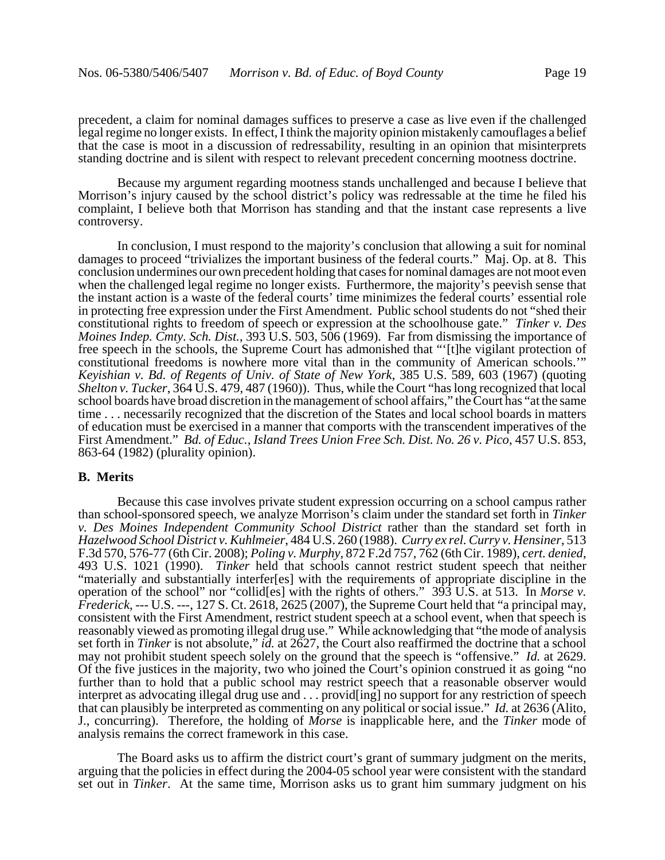precedent, a claim for nominal damages suffices to preserve a case as live even if the challenged legal regime no longer exists. In effect, I think the majority opinion mistakenly camouflages a belief that the case is moot in a discussion of redressability, resulting in an opinion that misinterprets standing doctrine and is silent with respect to relevant precedent concerning mootness doctrine.

Because my argument regarding mootness stands unchallenged and because I believe that Morrison's injury caused by the school district's policy was redressable at the time he filed his complaint, I believe both that Morrison has standing and that the instant case represents a live controversy.

In conclusion, I must respond to the majority's conclusion that allowing a suit for nominal damages to proceed "trivializes the important business of the federal courts." Maj. Op. at 8. This conclusion undermines our own precedent holding that cases for nominal damages are not moot even when the challenged legal regime no longer exists. Furthermore, the majority's peevish sense that the instant action is a waste of the federal courts' time minimizes the federal courts' essential role in protecting free expression under the First Amendment. Public school students do not "shed their constitutional rights to freedom of speech or expression at the schoolhouse gate." *Tinker v. Des Moines Indep. Cmty. Sch. Dist.*, 393 U.S. 503, 506 (1969). Far from dismissing the importance of free speech in the schools, the Supreme Court has admonished that "'[t]he vigilant protection of constitutional freedoms is nowhere more vital than in the community of American schools.'" *Keyishian v. Bd. of Regents of Univ. of State of New York*, 385 U.S. 589, 603 (1967) (quoting *Shelton v. Tucker*, 364 U.S. 479, 487 (1960)). Thus, while the Court "has long recognized that local school boards have broad discretion in the management of school affairs," the Court has "at the same time . . . necessarily recognized that the discretion of the States and local school boards in matters of education must be exercised in a manner that comports with the transcendent imperatives of the First Amendment." *Bd. of Educ., Island Trees Union Free Sch. Dist. No. 26 v. Pico*, 457 U.S. 853, 863-64 (1982) (plurality opinion).

# **B. Merits**

Because this case involves private student expression occurring on a school campus rather than school-sponsored speech, we analyze Morrison's claim under the standard set forth in *Tinker v. Des Moines Independent Community School District* rather than the standard set forth in *Hazelwood School District v. Kuhlmeier*, 484 U.S. 260 (1988). *Curry ex rel. Curry v. Hensiner*, 513 F.3d 570, 576-77 (6th Cir. 2008); *Poling v. Murphy*, 872 F.2d 757, 762 (6th Cir. 1989), *cert. denied*, 493 U.S. 1021 (1990). *Tinker* held that schools cannot restrict student speech that neither "materially and substantially interfer[es] with the requirements of appropriate discipline in the operation of the school" nor "collid[es] with the rights of others." 393 U.S. at 513. In *Morse v. Frederick*, --- U.S. ---, 127 S. Ct. 2618, 2625 (2007), the Supreme Court held that "a principal may, consistent with the First Amendment, restrict student speech at a school event, when that speech is reasonably viewed as promoting illegal drug use." While acknowledging that "the mode of analysis set forth in *Tinker* is not absolute," *id.* at 2627, the Court also reaffirmed the doctrine that a school may not prohibit student speech solely on the ground that the speech is "offensive." *Id.* at 2629. Of the five justices in the majority, two who joined the Court's opinion construed it as going "no further than to hold that a public school may restrict speech that a reasonable observer would interpret as advocating illegal drug use and . . . provid[ing] no support for any restriction of speech that can plausibly be interpreted as commenting on any political or social issue." *Id.* at 2636 (Alito, J., concurring). Therefore, the holding of *Morse* is inapplicable here, and the *Tinker* mode of analysis remains the correct framework in this case.

The Board asks us to affirm the district court's grant of summary judgment on the merits, arguing that the policies in effect during the 2004-05 school year were consistent with the standard set out in *Tinker*. At the same time, Morrison asks us to grant him summary judgment on his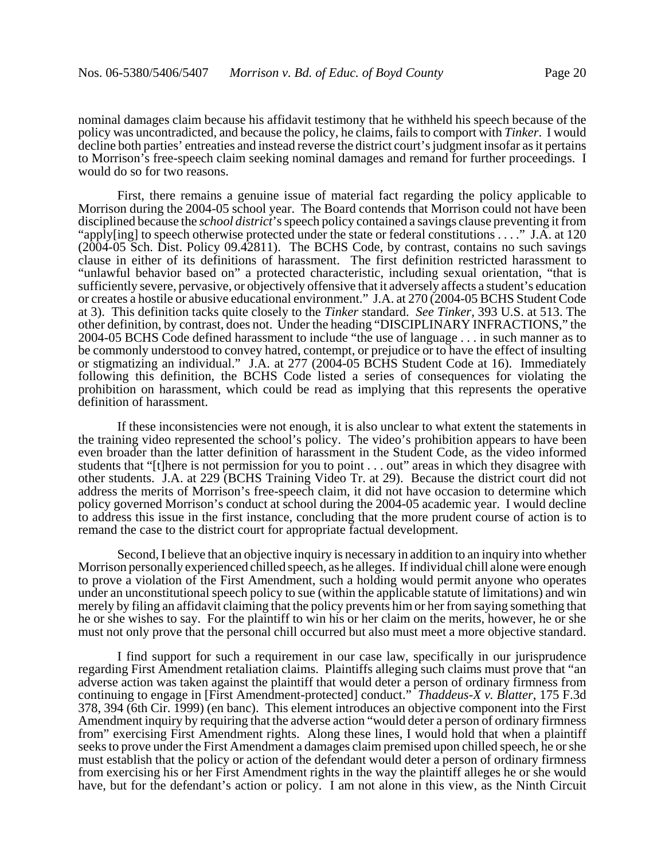nominal damages claim because his affidavit testimony that he withheld his speech because of the policy was uncontradicted, and because the policy, he claims, fails to comport with *Tinker*. I would decline both parties' entreaties and instead reverse the district court's judgment insofar as it pertains to Morrison's free-speech claim seeking nominal damages and remand for further proceedings. I would do so for two reasons.

First, there remains a genuine issue of material fact regarding the policy applicable to Morrison during the 2004-05 school year. The Board contends that Morrison could not have been disciplined because the *school district*'s speech policy contained a savings clause preventing it from "apply[ing] to speech otherwise protected under the state or federal constitutions . . . ." J.A. at 120 (2004-05 Sch. Dist. Policy 09.42811). The BCHS Code, by contrast, contains no such savings clause in either of its definitions of harassment. The first definition restricted harassment to "unlawful behavior based on" a protected characteristic, including sexual orientation, "that is sufficiently severe, pervasive, or objectively offensive that it adversely affects a student's education or creates a hostile or abusive educational environment." J.A. at 270 (2004-05 BCHS Student Code at 3). This definition tacks quite closely to the *Tinker* standard. *See Tinker*, 393 U.S. at 513. The other definition, by contrast, does not. Under the heading "DISCIPLINARY INFRACTIONS," the 2004-05 BCHS Code defined harassment to include "the use of language . . . in such manner as to be commonly understood to convey hatred, contempt, or prejudice or to have the effect of insulting or stigmatizing an individual." J.A. at 277 (2004-05 BCHS Student Code at 16). Immediately following this definition, the BCHS Code listed a series of consequences for violating the prohibition on harassment, which could be read as implying that this represents the operative definition of harassment.

If these inconsistencies were not enough, it is also unclear to what extent the statements in the training video represented the school's policy. The video's prohibition appears to have been even broader than the latter definition of harassment in the Student Code, as the video informed students that "[t]here is not permission for you to point . . . out" areas in which they disagree with other students. J.A. at 229 (BCHS Training Video Tr. at 29). Because the district court did not address the merits of Morrison's free-speech claim, it did not have occasion to determine which policy governed Morrison's conduct at school during the 2004-05 academic year. I would decline to address this issue in the first instance, concluding that the more prudent course of action is to remand the case to the district court for appropriate factual development.

Second, I believe that an objective inquiry is necessary in addition to an inquiry into whether Morrison personally experienced chilled speech, as he alleges. If individual chill alone were enough to prove a violation of the First Amendment, such a holding would permit anyone who operates under an unconstitutional speech policy to sue (within the applicable statute of limitations) and win merely by filing an affidavit claiming that the policy prevents him or her from saying something that he or she wishes to say. For the plaintiff to win his or her claim on the merits, however, he or she must not only prove that the personal chill occurred but also must meet a more objective standard.

I find support for such a requirement in our case law, specifically in our jurisprudence regarding First Amendment retaliation claims. Plaintiffs alleging such claims must prove that "an adverse action was taken against the plaintiff that would deter a person of ordinary firmness from continuing to engage in [First Amendment-protected] conduct." *Thaddeus-X v. Blatter*, 175 F.3d 378, 394 (6th Cir. 1999) (en banc). This element introduces an objective component into the First Amendment inquiry by requiring that the adverse action "would deter a person of ordinary firmness from" exercising First Amendment rights. Along these lines, I would hold that when a plaintiff seeks to prove under the First Amendment a damages claim premised upon chilled speech, he or she must establish that the policy or action of the defendant would deter a person of ordinary firmness from exercising his or her First Amendment rights in the way the plaintiff alleges he or she would have, but for the defendant's action or policy. I am not alone in this view, as the Ninth Circuit